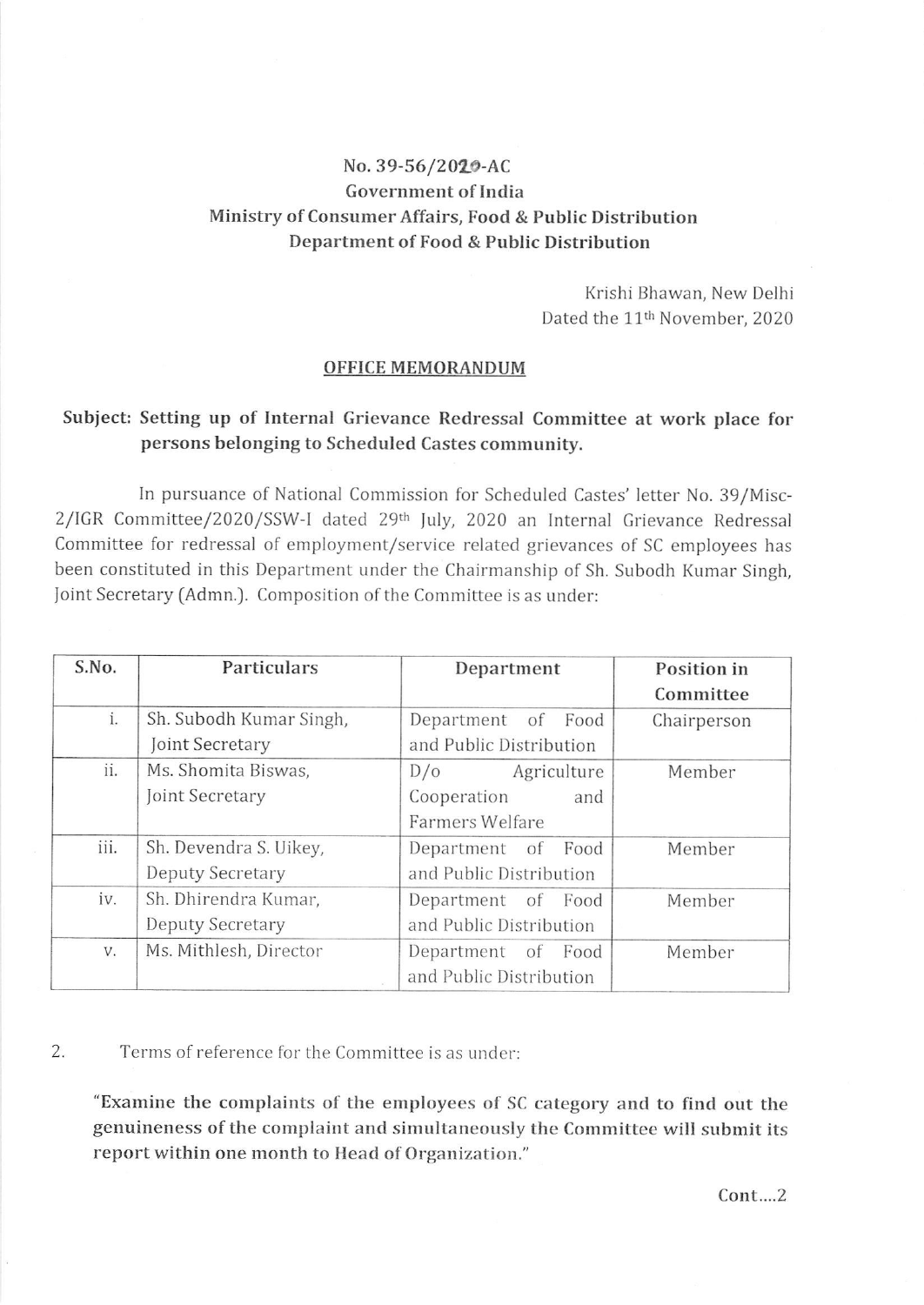# No. 39-56/2020-AC Government of India Ministry of Consumer Affairs, Food & Public Distribution Department of Food & Public Distribution

Krishi Bhawan, New Delhi Dated the 11<sup>th</sup> November, 2020

#### OFFICE MEMORANDUM

## Subject: Setting up of Internal Grievance Redressal Committee at work place for persons belonging to Scheduled Castes community.

In pursuance of National Commission for Scheduled Castes' letter No. 39/Misc-2/IGR Committee/2020/SSW-I dated 29th July, 2020 an Internal Grievance Redressal Committee for redressal of employment/service related grievances of SC employees has been constituted in this Department under the Chairmanship of Sh. Subodh Kumar Singh, Joint Secretary (Admn.). Composition of the Committee is as under:

| S.No. | Particulars             | Department              | Position in |
|-------|-------------------------|-------------------------|-------------|
|       |                         |                         | Committee   |
| i.    | Sh. Subodh Kumar Singh, | Department of Food      | Chairperson |
|       | Joint Secretary         | and Public Distribution |             |
| ii.   | Ms. Shomita Biswas,     | Agriculture<br>D/O      | Member      |
|       | Joint Secretary         | Cooperation<br>and      |             |
|       |                         | Farmers Welfare         |             |
| iii.  | Sh. Devendra S. Uikey,  | Department of Food      | Member      |
|       | Deputy Secretary        | and Public Distribution |             |
| iv.   | Sh. Dhirendra Kumar,    | Department of Food      | Member      |
|       | Deputy Secretary        | and Public Distribution |             |
| V.    | Ms. Mithlesh, Director  | Department of<br>Food   | Member      |
|       |                         | and Public Distribution |             |

### 2. Terms of reference for the Committee is as under:

"Examine the complaints of the employees of SC category and to find out the genuineness of the complaint and simultaneously the Committee will submit its report within one month to Head of Organization."